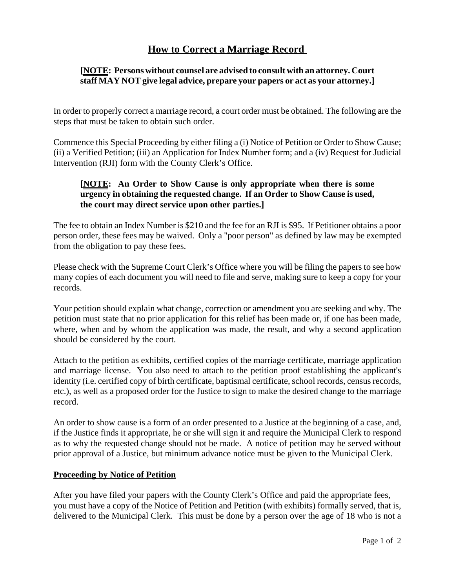# **How to Correct a Marriage Record**

#### **[NOTE: Persons without counsel are advised to consult with an attorney. Court staff MAY NOT give legal advice, prepare your papers or act as your attorney.]**

In order to properly correct a marriage record, a court order must be obtained. The following are the steps that must be taken to obtain such order.

Commence this Special Proceeding by either filing a (i) Notice of Petition or Order to Show Cause; (ii) a Verified Petition; (iii) an Application for Index Number form; and a (iv) Request for Judicial Intervention (RJI) form with the County Clerk's Office.

## **[NOTE: An Order to Show Cause is only appropriate when there is some urgency in obtaining the requested change. If an Order to Show Cause is used, the court may direct service upon other parties.]**

The fee to obtain an Index Number is \$210 and the fee for an RJI is \$95. If Petitioner obtains a poor person order, these fees may be waived. Only a "poor person" as defined by law may be exempted from the obligation to pay these fees.

Please check with the Supreme Court Clerk's Office where you will be filing the papers to see how many copies of each document you will need to file and serve, making sure to keep a copy for your records.

Your petition should explain what change, correction or amendment you are seeking and why. The petition must state that no prior application for this relief has been made or, if one has been made, where, when and by whom the application was made, the result, and why a second application should be considered by the court.

Attach to the petition as exhibits, certified copies of the marriage certificate, marriage application and marriage license. You also need to attach to the petition proof establishing the applicant's identity (i.e. certified copy of birth certificate, baptismal certificate, school records, census records, etc.), as well as a proposed order for the Justice to sign to make the desired change to the marriage record.

An order to show cause is a form of an order presented to a Justice at the beginning of a case, and, if the Justice finds it appropriate, he or she will sign it and require the Municipal Clerk to respond as to why the requested change should not be made. A notice of petition may be served without prior approval of a Justice, but minimum advance notice must be given to the Municipal Clerk.

## **Proceeding by Notice of Petition**

After you have filed your papers with the County Clerk's Office and paid the appropriate fees, you must have a copy of the Notice of Petition and Petition (with exhibits) formally served, that is, delivered to the Municipal Clerk. This must be done by a person over the age of 18 who is not a